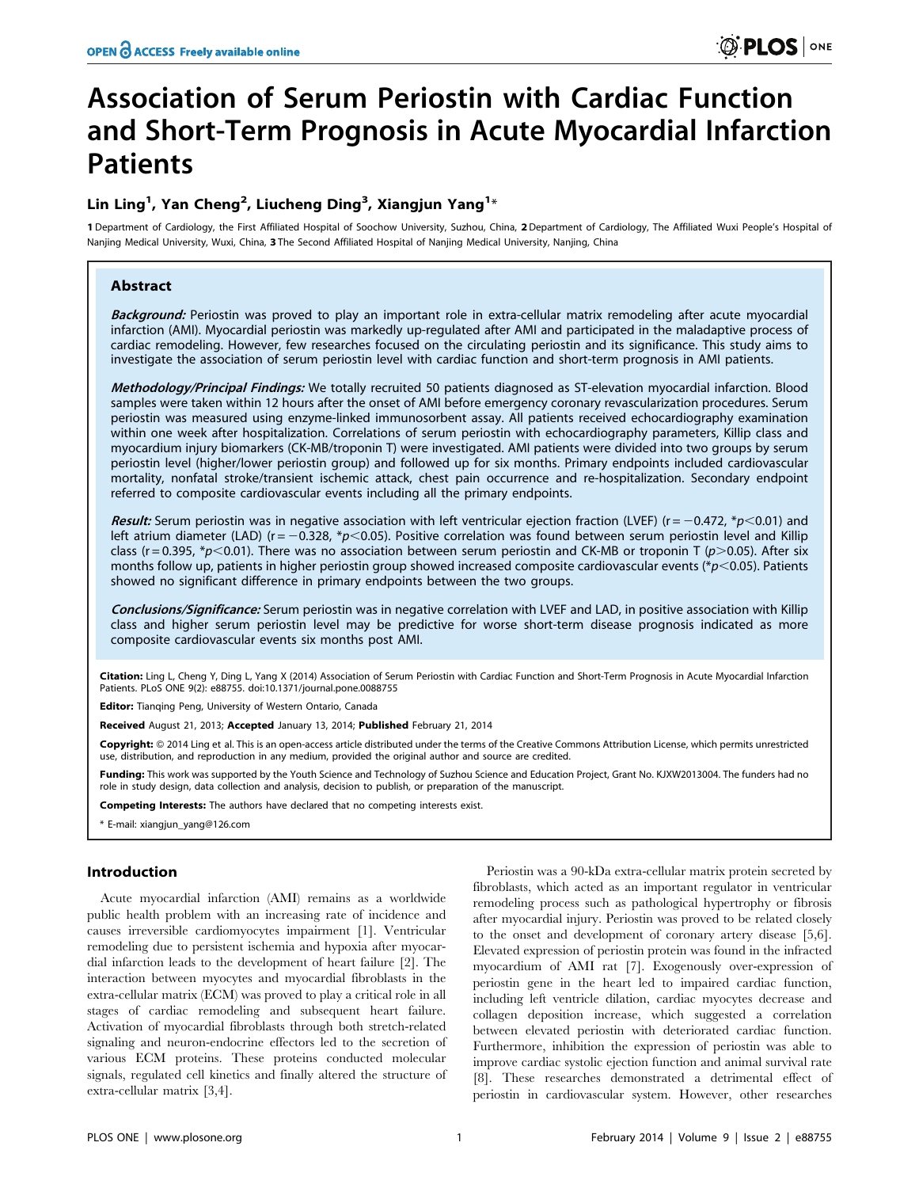# Association of Serum Periostin with Cardiac Function and Short-Term Prognosis in Acute Myocardial Infarction **Patients**

# Lin Ling<sup>1</sup>, Yan Cheng<sup>2</sup>, Liucheng Ding<sup>3</sup>, Xiangjun Yang<sup>1</sup>\*

1 Department of Cardiology, the First Affiliated Hospital of Soochow University, Suzhou, China, 2Department of Cardiology, The Affiliated Wuxi People's Hospital of Nanjing Medical University, Wuxi, China, 3 The Second Affiliated Hospital of Nanjing Medical University, Nanjing, China

# Abstract

Background: Periostin was proved to play an important role in extra-cellular matrix remodeling after acute myocardial infarction (AMI). Myocardial periostin was markedly up-regulated after AMI and participated in the maladaptive process of cardiac remodeling. However, few researches focused on the circulating periostin and its significance. This study aims to investigate the association of serum periostin level with cardiac function and short-term prognosis in AMI patients.

Methodology/Principal Findings: We totally recruited 50 patients diagnosed as ST-elevation myocardial infarction. Blood samples were taken within 12 hours after the onset of AMI before emergency coronary revascularization procedures. Serum periostin was measured using enzyme-linked immunosorbent assay. All patients received echocardiography examination within one week after hospitalization. Correlations of serum periostin with echocardiography parameters, Killip class and myocardium injury biomarkers (CK-MB/troponin T) were investigated. AMI patients were divided into two groups by serum periostin level (higher/lower periostin group) and followed up for six months. Primary endpoints included cardiovascular mortality, nonfatal stroke/transient ischemic attack, chest pain occurrence and re-hospitalization. Secondary endpoint referred to composite cardiovascular events including all the primary endpoints.

Result: Serum periostin was in negative association with left ventricular ejection fraction (LVEF) ( $r = -0.472$ ,  $p < 0.01$ ) and left atrium diameter (LAD) (r = -0.328, \*p<0.05). Positive correlation was found between serum periostin level and Killip class (r = 0.395, \*p<0.01). There was no association between serum periostin and CK-MB or troponin T (p>0.05). After six months follow up, patients in higher periostin group showed increased composite cardiovascular events (\*p<0.05). Patients showed no significant difference in primary endpoints between the two groups.

Conclusions/Significance: Serum periostin was in negative correlation with LVEF and LAD, in positive association with Killip class and higher serum periostin level may be predictive for worse short-term disease prognosis indicated as more composite cardiovascular events six months post AMI.

Citation: Ling L, Cheng Y, Ding L, Yang X (2014) Association of Serum Periostin with Cardiac Function and Short-Term Prognosis in Acute Myocardial Infarction Patients. PLoS ONE 9(2): e88755. doi:10.1371/journal.pone.0088755

Editor: Tianqing Peng, University of Western Ontario, Canada

Received August 21, 2013; Accepted January 13, 2014; Published February 21, 2014

Copyright: @ 2014 Ling et al. This is an open-access article distributed under the terms of the [Creative Commons Attribution License](http://creativecommons.org/licenses/by/4.0/), which permits unrestricted use, distribution, and reproduction in any medium, provided the original author and source are credited.

Funding: This work was supported by the Youth Science and Technology of Suzhou Science and Education Project, Grant No. KJXW2013004. The funders had no role in study design, data collection and analysis, decision to publish, or preparation of the manuscript.

Competing Interests: The authors have declared that no competing interests exist.

E-mail: xiangjun\_yang@126.com

#### Introduction

Acute myocardial infarction (AMI) remains as a worldwide public health problem with an increasing rate of incidence and causes irreversible cardiomyocytes impairment [1]. Ventricular remodeling due to persistent ischemia and hypoxia after myocardial infarction leads to the development of heart failure [2]. The interaction between myocytes and myocardial fibroblasts in the extra-cellular matrix (ECM) was proved to play a critical role in all stages of cardiac remodeling and subsequent heart failure. Activation of myocardial fibroblasts through both stretch-related signaling and neuron-endocrine effectors led to the secretion of various ECM proteins. These proteins conducted molecular signals, regulated cell kinetics and finally altered the structure of extra-cellular matrix [3,4].

Periostin was a 90-kDa extra-cellular matrix protein secreted by fibroblasts, which acted as an important regulator in ventricular remodeling process such as pathological hypertrophy or fibrosis after myocardial injury. Periostin was proved to be related closely to the onset and development of coronary artery disease [5,6]. Elevated expression of periostin protein was found in the infracted myocardium of AMI rat [7]. Exogenously over-expression of periostin gene in the heart led to impaired cardiac function, including left ventricle dilation, cardiac myocytes decrease and collagen deposition increase, which suggested a correlation between elevated periostin with deteriorated cardiac function. Furthermore, inhibition the expression of periostin was able to improve cardiac systolic ejection function and animal survival rate [8]. These researches demonstrated a detrimental effect of periostin in cardiovascular system. However, other researches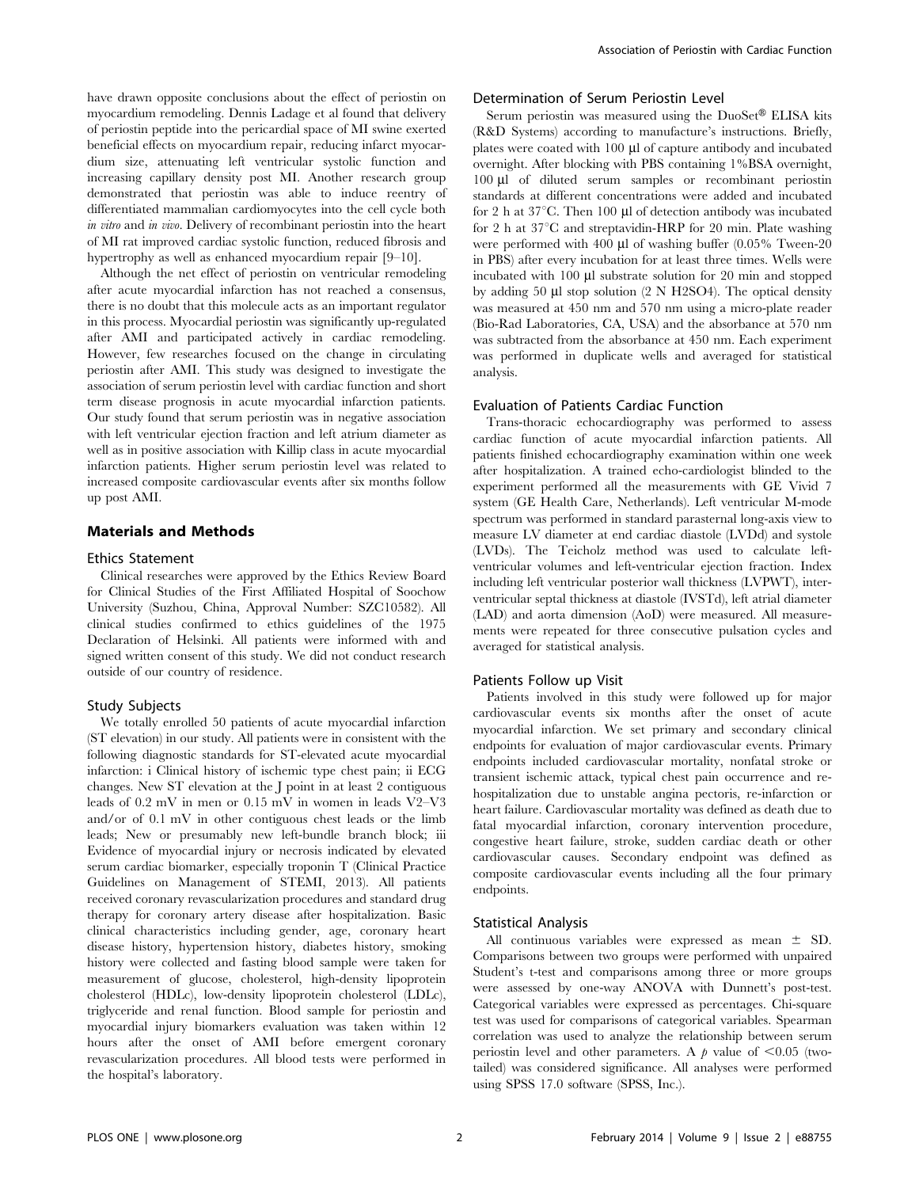have drawn opposite conclusions about the effect of periostin on myocardium remodeling. Dennis Ladage et al found that delivery of periostin peptide into the pericardial space of MI swine exerted beneficial effects on myocardium repair, reducing infarct myocardium size, attenuating left ventricular systolic function and increasing capillary density post MI. Another research group demonstrated that periostin was able to induce reentry of differentiated mammalian cardiomyocytes into the cell cycle both in vitro and in vivo. Delivery of recombinant periostin into the heart of MI rat improved cardiac systolic function, reduced fibrosis and hypertrophy as well as enhanced myocardium repair [9–10].

Although the net effect of periostin on ventricular remodeling after acute myocardial infarction has not reached a consensus, there is no doubt that this molecule acts as an important regulator in this process. Myocardial periostin was significantly up-regulated after AMI and participated actively in cardiac remodeling. However, few researches focused on the change in circulating periostin after AMI. This study was designed to investigate the association of serum periostin level with cardiac function and short term disease prognosis in acute myocardial infarction patients. Our study found that serum periostin was in negative association with left ventricular ejection fraction and left atrium diameter as well as in positive association with Killip class in acute myocardial infarction patients. Higher serum periostin level was related to increased composite cardiovascular events after six months follow up post AMI.

# Materials and Methods

# Ethics Statement

Clinical researches were approved by the Ethics Review Board for Clinical Studies of the First Affiliated Hospital of Soochow University (Suzhou, China, Approval Number: SZC10582). All clinical studies confirmed to ethics guidelines of the 1975 Declaration of Helsinki. All patients were informed with and signed written consent of this study. We did not conduct research outside of our country of residence.

#### Study Subjects

We totally enrolled 50 patients of acute myocardial infarction (ST elevation) in our study. All patients were in consistent with the following diagnostic standards for ST-elevated acute myocardial infarction: i Clinical history of ischemic type chest pain; ii ECG changes. New ST elevation at the J point in at least 2 contiguous leads of 0.2 mV in men or 0.15 mV in women in leads V2–V3 and/or of 0.1 mV in other contiguous chest leads or the limb leads; New or presumably new left-bundle branch block; iii Evidence of myocardial injury or necrosis indicated by elevated serum cardiac biomarker, especially troponin T (Clinical Practice Guidelines on Management of STEMI, 2013). All patients received coronary revascularization procedures and standard drug therapy for coronary artery disease after hospitalization. Basic clinical characteristics including gender, age, coronary heart disease history, hypertension history, diabetes history, smoking history were collected and fasting blood sample were taken for measurement of glucose, cholesterol, high-density lipoprotein cholesterol (HDLc), low-density lipoprotein cholesterol (LDLc), triglyceride and renal function. Blood sample for periostin and myocardial injury biomarkers evaluation was taken within 12 hours after the onset of AMI before emergent coronary revascularization procedures. All blood tests were performed in the hospital's laboratory.

#### Determination of Serum Periostin Level

Serum periostin was measured using the DuoSet<sup>®</sup> ELISA kits (R&D Systems) according to manufacture's instructions. Briefly, plates were coated with  $100 \mu l$  of capture antibody and incubated overnight. After blocking with PBS containing 1%BSA overnight, 100 µl of diluted serum samples or recombinant periostin standards at different concentrations were added and incubated for 2 h at  $37^{\circ}$ C. Then 100 µl of detection antibody was incubated for 2 h at  $37^{\circ}$ C and streptavidin-HRP for 20 min. Plate washing were performed with 400  $\mu$ l of washing buffer (0.05% Tween-20 in PBS) after every incubation for at least three times. Wells were incubated with  $100 \mu l$  substrate solution for  $20 \mu m$  and stopped by adding 50  $\mu$ l stop solution (2 N H2SO4). The optical density was measured at 450 nm and 570 nm using a micro-plate reader (Bio-Rad Laboratories, CA, USA) and the absorbance at 570 nm was subtracted from the absorbance at 450 nm. Each experiment was performed in duplicate wells and averaged for statistical analysis.

#### Evaluation of Patients Cardiac Function

Trans-thoracic echocardiography was performed to assess cardiac function of acute myocardial infarction patients. All patients finished echocardiography examination within one week after hospitalization. A trained echo-cardiologist blinded to the experiment performed all the measurements with GE Vivid 7 system (GE Health Care, Netherlands). Left ventricular M-mode spectrum was performed in standard parasternal long-axis view to measure LV diameter at end cardiac diastole (LVDd) and systole (LVDs). The Teicholz method was used to calculate leftventricular volumes and left-ventricular ejection fraction. Index including left ventricular posterior wall thickness (LVPWT), interventricular septal thickness at diastole (IVSTd), left atrial diameter (LAD) and aorta dimension (AoD) were measured. All measurements were repeated for three consecutive pulsation cycles and averaged for statistical analysis.

#### Patients Follow up Visit

Patients involved in this study were followed up for major cardiovascular events six months after the onset of acute myocardial infarction. We set primary and secondary clinical endpoints for evaluation of major cardiovascular events. Primary endpoints included cardiovascular mortality, nonfatal stroke or transient ischemic attack, typical chest pain occurrence and rehospitalization due to unstable angina pectoris, re-infarction or heart failure. Cardiovascular mortality was defined as death due to fatal myocardial infarction, coronary intervention procedure, congestive heart failure, stroke, sudden cardiac death or other cardiovascular causes. Secondary endpoint was defined as composite cardiovascular events including all the four primary endpoints.

#### Statistical Analysis

All continuous variables were expressed as mean  $\pm$  SD. Comparisons between two groups were performed with unpaired Student's t-test and comparisons among three or more groups were assessed by one-way ANOVA with Dunnett's post-test. Categorical variables were expressed as percentages. Chi-square test was used for comparisons of categorical variables. Spearman correlation was used to analyze the relationship between serum periostin level and other parameters. A  $\beta$  value of <0.05 (twotailed) was considered significance. All analyses were performed using SPSS 17.0 software (SPSS, Inc.).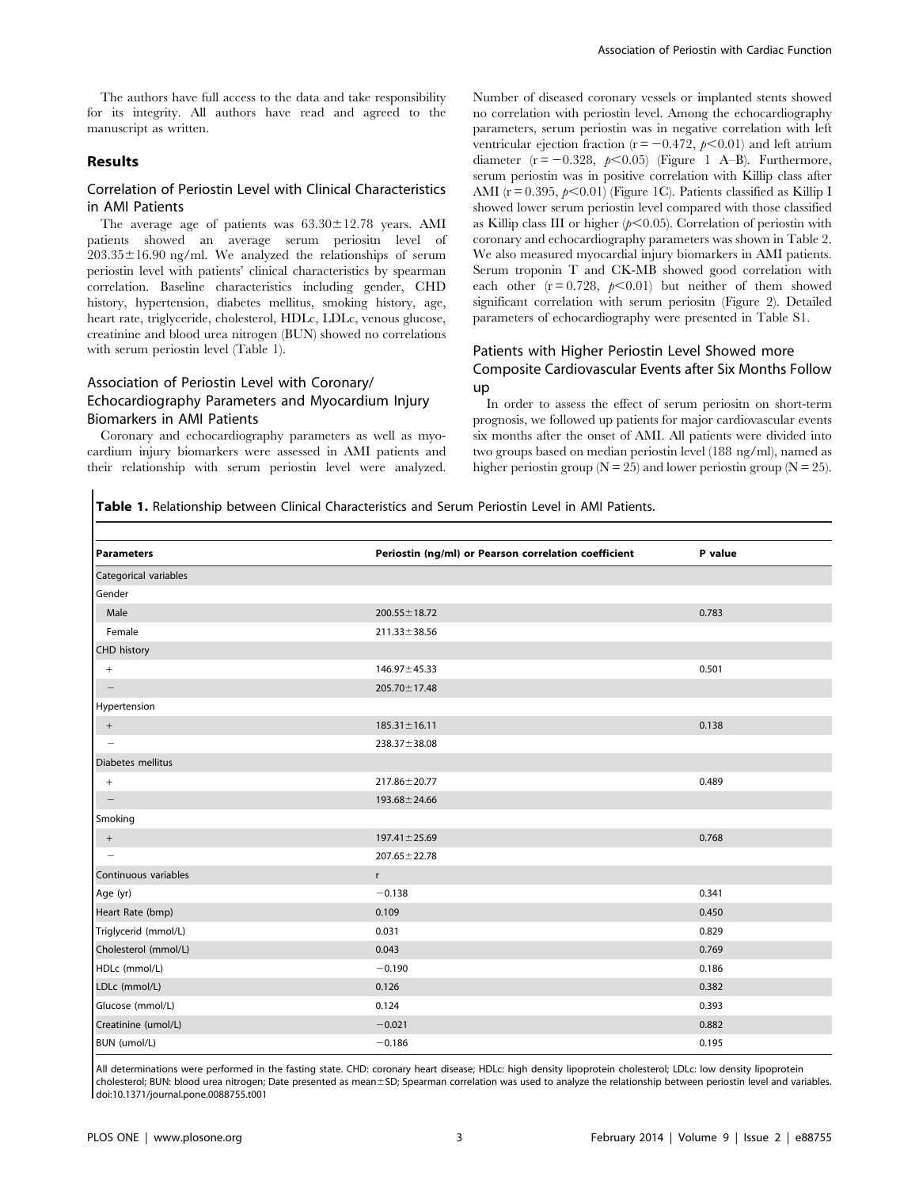The authors have full access to the data and take responsibility for its integrity. All authors have read and agreed to the manuscript as written.

#### Results

### Correlation of Periostin Level with Clinical Characteristics in AMI Patients

The average age of patients was  $63.30 \pm 12.78$  years. AMI patients showed an average serum periositn level of  $203.35 \pm 16.90$  ng/ml. We analyzed the relationships of serum periostin level with patients' clinical characteristics by spearman correlation. Baseline characteristics including gender, CHD history, hypertension, diabetes mellitus, smoking history, age, heart rate, triglyceride, cholesterol, HDLc, LDLc, venous glucose, creatinine and blood urea nitrogen (BUN) showed no correlations with serum periostin level (Table 1).

# Association of Periostin Level with Coronary/ Echocardiography Parameters and Myocardium Injury Biomarkers in AMI Patients

Coronary and echocardiography parameters as well as myocardium injury biomarkers were assessed in AMI patients and their relationship with serum periostin level were analyzed. Number of diseased coronary vessels or implanted stents showed no correlation with periostin level. Among the echocardiography parameters, serum periostin was in negative correlation with left ventricular ejection fraction ( $r = -0.472$ ,  $p < 0.01$ ) and left atrium diameter  $(r = -0.328, p < 0.05)$  (Figure 1 A–B). Furthermore, serum periostin was in positive correlation with Killip class after AMI ( $r = 0.395$ ,  $p < 0.01$ ) (Figure 1C). Patients classified as Killip I showed lower serum periostin level compared with those classified as Killip class III or higher  $(p<0.05)$ . Correlation of periostin with coronary and echocardiography parameters was shown in Table 2. We also measured myocardial injury biomarkers in AMI patients. Serum troponin T and CK-MB showed good correlation with each other  $(r = 0.728, p < 0.01)$  but neither of them showed significant correlation with serum periositn (Figure 2). Detailed parameters of echocardiography were presented in Table S1.

# Patients with Higher Periostin Level Showed more Composite Cardiovascular Events after Six Months Follow up

In order to assess the effect of serum periositn on short-term prognosis, we followed up patients for major cardiovascular events six months after the onset of AMI. All patients were divided into two groups based on median periostin level (188 ng/ml), named as higher periostin group ( $N = 25$ ) and lower periostin group ( $N = 25$ ).

Table 1. Relationship between Clinical Characteristics and Serum Periostin Level in AMI Patients.

| <b>Parameters</b>     | Periostin (ng/ml) or Pearson correlation coefficient | P value |
|-----------------------|------------------------------------------------------|---------|
| Categorical variables |                                                      |         |
| Gender                |                                                      |         |
| Male                  | $200.55 \pm 18.72$                                   | 0.783   |
| Female                | $211.33 \pm 38.56$                                   |         |
| <b>CHD history</b>    |                                                      |         |
| $^{+}$                | 146.97 ± 45.33                                       | 0.501   |
|                       | 205.70 ± 17.48                                       |         |
| Hypertension          |                                                      |         |
| $+$                   | $185.31 \pm 16.11$                                   | 0.138   |
|                       | $238.37 \pm 38.08$                                   |         |
| Diabetes mellitus     |                                                      |         |
| $^{+}$                | $217.86 \pm 20.77$                                   | 0.489   |
|                       | 193.68 ± 24.66                                       |         |
| Smoking               |                                                      |         |
| $+$                   | $197.41 \pm 25.69$                                   | 0.768   |
|                       | $207.65 \pm 22.78$                                   |         |
| Continuous variables  | r                                                    |         |
| Age (yr)              | $-0.138$                                             | 0.341   |
| Heart Rate (bmp)      | 0.109                                                | 0.450   |
| Triglycerid (mmol/L)  | 0.031                                                | 0.829   |
| Cholesterol (mmol/L)  | 0.043                                                | 0.769   |
| HDLc (mmol/L)         | $-0.190$                                             | 0.186   |
| LDLc (mmol/L)         | 0.126                                                | 0.382   |
| Glucose (mmol/L)      | 0.124                                                | 0.393   |
| Creatinine (umol/L)   | $-0.021$                                             | 0.882   |
| BUN (umol/L)          | $-0.186$                                             | 0.195   |

All determinations were performed in the fasting state. CHD: coronary heart disease; HDLc: high density lipoprotein cholesterol; LDLc: low density lipoprotein cholesterol; BUN: blood urea nitrogen; Date presented as mean±SD; Spearman correlation was used to analyze the relationship between periostin level and variables. doi:10.1371/journal.pone.0088755.t001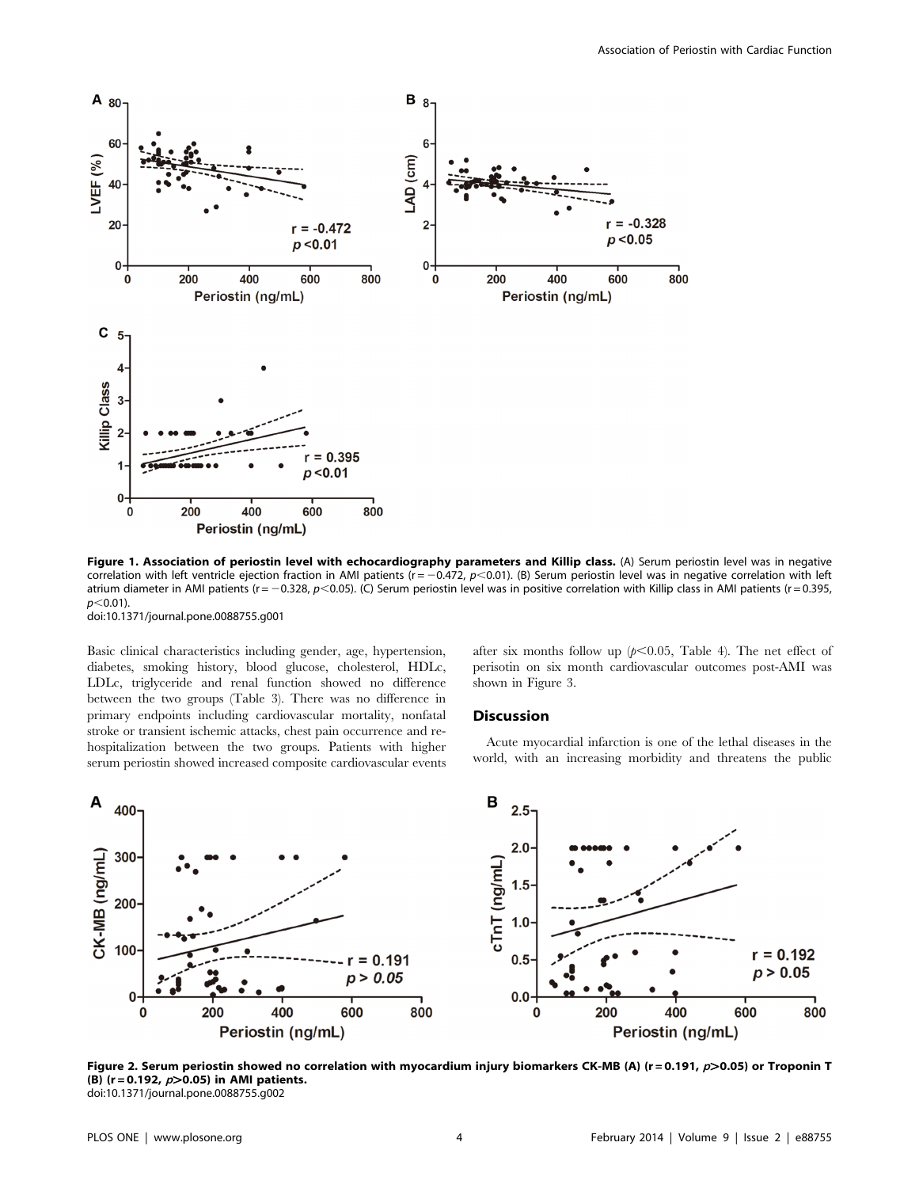

Figure 1. Association of periostin level with echocardiography parameters and Killip class. (A) Serum periostin level was in negative correlation with left ventricle ejection fraction in AMI patients ( $r = -0.472$ ,  $p < 0.01$ ). (B) Serum periostin level was in negative correlation with left atrium diameter in AMI patients ( $r = -0.328$ ,  $p < 0.05$ ). (C) Serum periostin level was in positive correlation with Killip class in AMI patients ( $r = 0.395$ ,  $p<0.01$ ).

doi:10.1371/journal.pone.0088755.g001

Basic clinical characteristics including gender, age, hypertension, diabetes, smoking history, blood glucose, cholesterol, HDLc, LDLc, triglyceride and renal function showed no difference between the two groups (Table 3). There was no difference in primary endpoints including cardiovascular mortality, nonfatal stroke or transient ischemic attacks, chest pain occurrence and rehospitalization between the two groups. Patients with higher serum periostin showed increased composite cardiovascular events after six months follow up  $(p<0.05,$  Table 4). The net effect of perisotin on six month cardiovascular outcomes post-AMI was shown in Figure 3.

#### **Discussion**

Acute myocardial infarction is one of the lethal diseases in the world, with an increasing morbidity and threatens the public



Figure 2. Serum periostin showed no correlation with myocardium injury biomarkers CK-MB (A) (r=0.191,  $p$ >0.05) or Troponin T (B) ( $r = 0.192$ ,  $p > 0.05$ ) in AMI patients. doi:10.1371/journal.pone.0088755.g002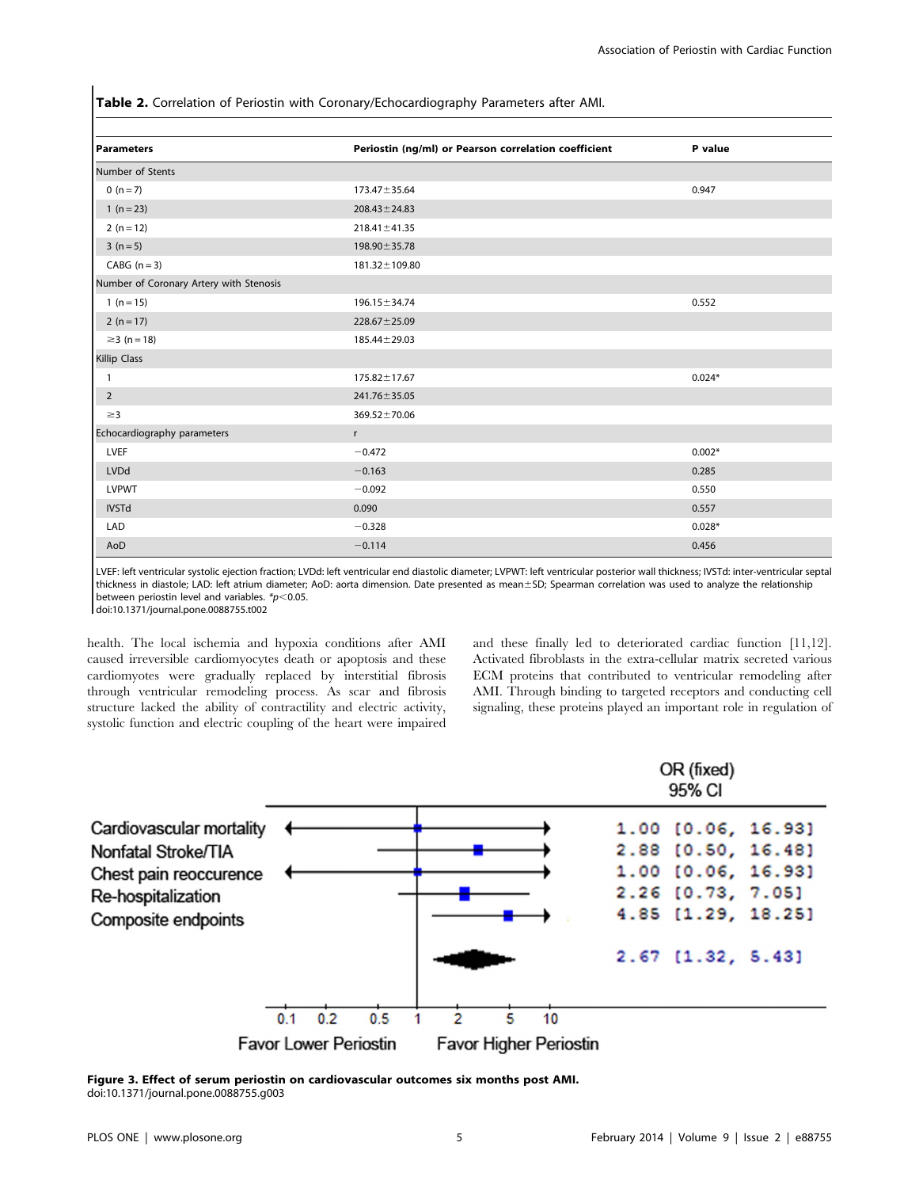Table 2. Correlation of Periostin with Coronary/Echocardiography Parameters after AMI.

| <b>Parameters</b>                       | Periostin (ng/ml) or Pearson correlation coefficient | P value  |
|-----------------------------------------|------------------------------------------------------|----------|
| Number of Stents                        |                                                      |          |
| 0 ( $n = 7$ )                           | 173.47 ± 35.64                                       | 0.947    |
| 1 ( $n = 23$ )                          | $208.43 \pm 24.83$                                   |          |
| 2 $(n = 12)$                            | $218.41 \pm 41.35$                                   |          |
| $3(n=5)$                                | 198.90 ± 35.78                                       |          |
| CABG $(n=3)$                            | 181.32±109.80                                        |          |
| Number of Coronary Artery with Stenosis |                                                      |          |
| $1 (n = 15)$                            | $196.15 \pm 34.74$                                   | 0.552    |
| 2 ( $n = 17$ )                          | $228.67 \pm 25.09$                                   |          |
| $\geq$ 3 (n = 18)                       | 185.44 ± 29.03                                       |          |
| <b>Killip Class</b>                     |                                                      |          |
| 1                                       | $175.82 \pm 17.67$                                   | $0.024*$ |
| $\overline{2}$                          | $241.76 \pm 35.05$                                   |          |
| $\geq$ 3                                | 369.52 ± 70.06                                       |          |
| Echocardiography parameters             | r                                                    |          |
| LVEF                                    | $-0.472$                                             | $0.002*$ |
| <b>LVDd</b>                             | $-0.163$                                             | 0.285    |
| <b>LVPWT</b>                            | $-0.092$                                             | 0.550    |
| <b>IVSTd</b>                            | 0.090                                                | 0.557    |
| LAD                                     | $-0.328$                                             | $0.028*$ |
| AoD                                     | $-0.114$                                             | 0.456    |

LVEF: left ventricular systolic ejection fraction; LVDd: left ventricular end diastolic diameter; LVPWT: left ventricular posterior wall thickness; IVSTd: inter-ventricular septal thickness in diastole; LAD: left atrium diameter; AoD: aorta dimension. Date presented as mean±SD; Spearman correlation was used to analyze the relationship between periostin level and variables.  $* p$ <0.05.

doi:10.1371/journal.pone.0088755.t002

health. The local ischemia and hypoxia conditions after AMI caused irreversible cardiomyocytes death or apoptosis and these cardiomyotes were gradually replaced by interstitial fibrosis through ventricular remodeling process. As scar and fibrosis structure lacked the ability of contractility and electric activity, systolic function and electric coupling of the heart were impaired

and these finally led to deteriorated cardiac function [11,12]. Activated fibroblasts in the extra-cellular matrix secreted various ECM proteins that contributed to ventricular remodeling after AMI. Through binding to targeted receptors and conducting cell signaling, these proteins played an important role in regulation of



Figure 3. Effect of serum periostin on cardiovascular outcomes six months post AMI. doi:10.1371/journal.pone.0088755.g003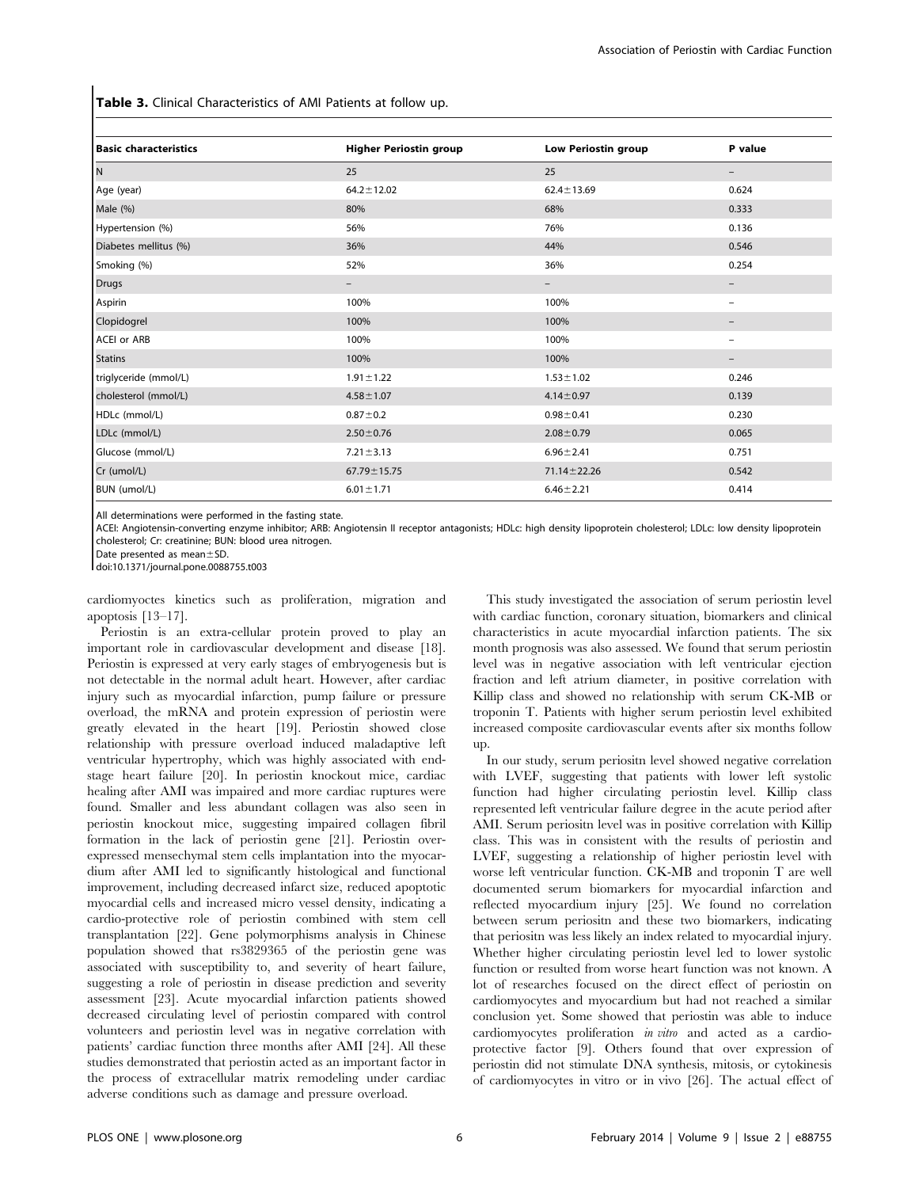Table 3. Clinical Characteristics of AMI Patients at follow up.

| <b>Basic characteristics</b> | <b>Higher Periostin group</b> | Low Periostin group | P value                  |
|------------------------------|-------------------------------|---------------------|--------------------------|
| N                            | 25                            | 25                  | $\qquad \qquad -$        |
| Age (year)                   | $64.2 \pm 12.02$              | $62.4 \pm 13.69$    | 0.624                    |
| Male (%)                     | 80%                           | 68%                 | 0.333                    |
| Hypertension (%)             | 56%                           | 76%                 | 0.136                    |
| Diabetes mellitus (%)        | 36%                           | 44%                 | 0.546                    |
| Smoking (%)                  | 52%                           | 36%                 | 0.254                    |
| <b>Drugs</b>                 | $-$                           | -                   | -                        |
| Aspirin                      | 100%                          | 100%                | $\overline{\phantom{0}}$ |
| Clopidogrel                  | 100%                          | 100%                |                          |
| ACEI or ARB                  | 100%                          | 100%                | $\overline{\phantom{0}}$ |
| <b>Statins</b>               | 100%                          | 100%                | $\qquad \qquad -$        |
| triglyceride (mmol/L)        | $1.91 \pm 1.22$               | $1.53 \pm 1.02$     | 0.246                    |
| cholesterol (mmol/L)         | $4.58 \pm 1.07$               | $4.14 \pm 0.97$     | 0.139                    |
| HDLc (mmol/L)                | $0.87 + 0.2$                  | $0.98 + 0.41$       | 0.230                    |
| LDLc (mmol/L)                | $2.50 \pm 0.76$               | $2.08 \pm 0.79$     | 0.065                    |
| Glucose (mmol/L)             | $7.21 \pm 3.13$               | $6.96 \pm 2.41$     | 0.751                    |
| Cr (umol/L)                  | $67.79 \pm 15.75$             | $71.14 \pm 22.26$   | 0.542                    |
| BUN (umol/L)                 | $6.01 \pm 1.71$               | $6.46 \pm 2.21$     | 0.414                    |

All determinations were performed in the fasting state.

ACEI: Angiotensin-converting enzyme inhibitor; ARB: Angiotensin II receptor antagonists; HDLc: high density lipoprotein cholesterol; LDLc: low density lipoprotein cholesterol; Cr: creatinine; BUN: blood urea nitrogen.

Date presented as mean $\pm$ SD.

doi:10.1371/journal.pone.0088755.t003

cardiomyoctes kinetics such as proliferation, migration and apoptosis [13–17].

Periostin is an extra-cellular protein proved to play an important role in cardiovascular development and disease [18]. Periostin is expressed at very early stages of embryogenesis but is not detectable in the normal adult heart. However, after cardiac injury such as myocardial infarction, pump failure or pressure overload, the mRNA and protein expression of periostin were greatly elevated in the heart [19]. Periostin showed close relationship with pressure overload induced maladaptive left ventricular hypertrophy, which was highly associated with endstage heart failure [20]. In periostin knockout mice, cardiac healing after AMI was impaired and more cardiac ruptures were found. Smaller and less abundant collagen was also seen in periostin knockout mice, suggesting impaired collagen fibril formation in the lack of periostin gene [21]. Periostin overexpressed mensechymal stem cells implantation into the myocardium after AMI led to significantly histological and functional improvement, including decreased infarct size, reduced apoptotic myocardial cells and increased micro vessel density, indicating a cardio-protective role of periostin combined with stem cell transplantation [22]. Gene polymorphisms analysis in Chinese population showed that rs3829365 of the periostin gene was associated with susceptibility to, and severity of heart failure, suggesting a role of periostin in disease prediction and severity assessment [23]. Acute myocardial infarction patients showed decreased circulating level of periostin compared with control volunteers and periostin level was in negative correlation with patients' cardiac function three months after AMI [24]. All these studies demonstrated that periostin acted as an important factor in the process of extracellular matrix remodeling under cardiac adverse conditions such as damage and pressure overload.

This study investigated the association of serum periostin level with cardiac function, coronary situation, biomarkers and clinical characteristics in acute myocardial infarction patients. The six month prognosis was also assessed. We found that serum periostin level was in negative association with left ventricular ejection fraction and left atrium diameter, in positive correlation with Killip class and showed no relationship with serum CK-MB or troponin T. Patients with higher serum periostin level exhibited increased composite cardiovascular events after six months follow up.

In our study, serum periositn level showed negative correlation with LVEF, suggesting that patients with lower left systolic function had higher circulating periostin level. Killip class represented left ventricular failure degree in the acute period after AMI. Serum periositn level was in positive correlation with Killip class. This was in consistent with the results of periostin and LVEF, suggesting a relationship of higher periostin level with worse left ventricular function. CK-MB and troponin T are well documented serum biomarkers for myocardial infarction and reflected myocardium injury [25]. We found no correlation between serum periositn and these two biomarkers, indicating that periositn was less likely an index related to myocardial injury. Whether higher circulating periostin level led to lower systolic function or resulted from worse heart function was not known. A lot of researches focused on the direct effect of periostin on cardiomyocytes and myocardium but had not reached a similar conclusion yet. Some showed that periostin was able to induce cardiomyocytes proliferation in vitro and acted as a cardioprotective factor [9]. Others found that over expression of periostin did not stimulate DNA synthesis, mitosis, or cytokinesis of cardiomyocytes in vitro or in vivo [26]. The actual effect of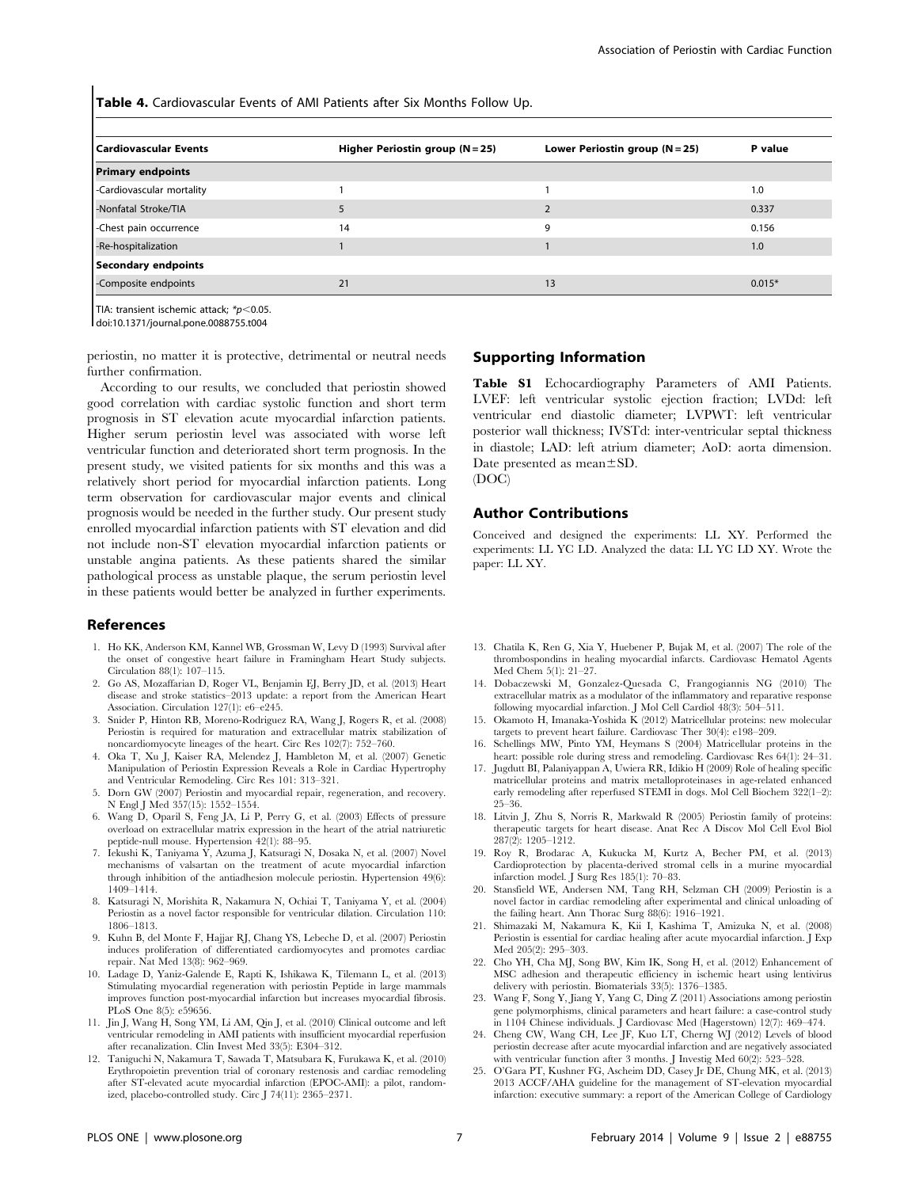Table 4. Cardiovascular Events of AMI Patients after Six Months Follow Up.

| <b>Cardiovascular Events</b> | Higher Periostin group $(N = 25)$ | Lower Periostin group $(N = 25)$ | P value  |
|------------------------------|-----------------------------------|----------------------------------|----------|
| <b>Primary endpoints</b>     |                                   |                                  |          |
| -Cardiovascular mortality    |                                   |                                  | 1.0      |
| -Nonfatal Stroke/TIA         |                                   |                                  | 0.337    |
| -Chest pain occurrence       | 14                                | 9                                | 0.156    |
| -Re-hospitalization          |                                   |                                  | 1.0      |
| Secondary endpoints          |                                   |                                  |          |
| -Composite endpoints         | 21                                | 13                               | $0.015*$ |
|                              |                                   |                                  |          |

TIA: transient ischemic attack;  $**p*$ <0.05.

doi:10.1371/journal.pone.0088755.t004

periostin, no matter it is protective, detrimental or neutral needs further confirmation.

According to our results, we concluded that periostin showed good correlation with cardiac systolic function and short term prognosis in ST elevation acute myocardial infarction patients. Higher serum periostin level was associated with worse left ventricular function and deteriorated short term prognosis. In the present study, we visited patients for six months and this was a relatively short period for myocardial infarction patients. Long term observation for cardiovascular major events and clinical prognosis would be needed in the further study. Our present study enrolled myocardial infarction patients with ST elevation and did not include non-ST elevation myocardial infarction patients or unstable angina patients. As these patients shared the similar pathological process as unstable plaque, the serum periostin level in these patients would better be analyzed in further experiments.

#### References

- 1. Ho KK, Anderson KM, Kannel WB, Grossman W, Levy D (1993) Survival after the onset of congestive heart failure in Framingham Heart Study subjects. Circulation 88(1): 107–115.
- 2. Go AS, Mozaffarian D, Roger VL, Benjamin EJ, Berry JD, et al. (2013) Heart disease and stroke statistics–2013 update: a report from the American Heart Association. Circulation 127(1): e6–e245.
- 3. Snider P, Hinton RB, Moreno-Rodriguez RA, Wang J, Rogers R, et al. (2008) Periostin is required for maturation and extracellular matrix stabilization of noncardiomyocyte lineages of the heart. Circ Res 102(7): 752–760.
- 4. Oka T, Xu J, Kaiser RA, Melendez J, Hambleton M, et al. (2007) Genetic Manipulation of Periostin Expression Reveals a Role in Cardiac Hypertrophy and Ventricular Remodeling. Circ Res 101: 313–321.
- 5. Dorn GW (2007) Periostin and myocardial repair, regeneration, and recovery. N Engl J Med 357(15): 1552–1554.
- 6. Wang D, Oparil S, Feng JA, Li P, Perry G, et al. (2003) Effects of pressure overload on extracellular matrix expression in the heart of the atrial natriuretic peptide-null mouse. Hypertension 42(1): 88–95.
- 7. Iekushi K, Taniyama Y, Azuma J, Katsuragi N, Dosaka N, et al. (2007) Novel mechanisms of valsartan on the treatment of acute myocardial infarction through inhibition of the antiadhesion molecule periostin. Hypertension 49(6): 1409–1414.
- 8. Katsuragi N, Morishita R, Nakamura N, Ochiai T, Taniyama Y, et al. (2004) Periostin as a novel factor responsible for ventricular dilation. Circulation 110: 1806–1813.
- 9. Kuhn B, del Monte F, Hajjar RJ, Chang YS, Lebeche D, et al. (2007) Periostin induces proliferation of differentiated cardiomyocytes and promotes cardiac repair. Nat Med 13(8): 962–969.
- 10. Ladage D, Yaniz-Galende E, Rapti K, Ishikawa K, Tilemann L, et al. (2013) Stimulating myocardial regeneration with periostin Peptide in large mammals improves function post-myocardial infarction but increases myocardial fibrosis. PLoS One 8(5): e59656.
- 11. Jin J, Wang H, Song YM, Li AM, Qin J, et al. (2010) Clinical outcome and left ventricular remodeling in AMI patients with insufficient myocardial reperfusion after recanalization. Clin Invest Med 33(5): E304–312.
- 12. Taniguchi N, Nakamura T, Sawada T, Matsubara K, Furukawa K, et al. (2010) Erythropoietin prevention trial of coronary restenosis and cardiac remodeling after ST-elevated acute myocardial infarction (EPOC-AMI): a pilot, randomized, placebo-controlled study. Circ J 74(11): 2365–2371.

#### Supporting Information

Table S1 Echocardiography Parameters of AMI Patients. LVEF: left ventricular systolic ejection fraction; LVDd: left ventricular end diastolic diameter; LVPWT: left ventricular posterior wall thickness; IVSTd: inter-ventricular septal thickness in diastole; LAD: left atrium diameter; AoD: aorta dimension. Date presented as mean $\pm$ SD. (DOC)

#### Author Contributions

Conceived and designed the experiments: LL XY. Performed the experiments: LL YC LD. Analyzed the data: LL YC LD XY. Wrote the paper: LL XY.

- 13. Chatila K, Ren G, Xia Y, Huebener P, Bujak M, et al. (2007) The role of the thrombospondins in healing myocardial infarcts. Cardiovasc Hematol Agents Med Chem 5(1): 21–27.
- 14. Dobaczewski M, Gonzalez-Quesada C, Frangogiannis NG (2010) The extracellular matrix as a modulator of the inflammatory and reparative response following myocardial infarction. J Mol Cell Cardiol 48(3): 504–511.
- 15. Okamoto H, Imanaka-Yoshida K (2012) Matricellular proteins: new molecular targets to prevent heart failure. Cardiovasc Ther 30(4): e198–209.
- 16. Schellings MW, Pinto YM, Heymans S (2004) Matricellular proteins in the heart: possible role during stress and remodeling. Cardiovasc Res 64(1): 24–31.
- 17. Jugdutt BI, Palaniyappan A, Uwiera RR, Idikio H (2009) Role of healing specific matricellular proteins and matrix metalloproteinases in age-related enhanced early remodeling after reperfused STEMI in dogs. Mol Cell Biochem 322(1–2):  $25 - 36$ .
- 18. Litvin J, Zhu S, Norris R, Markwald R (2005) Periostin family of proteins: therapeutic targets for heart disease. Anat Rec A Discov Mol Cell Evol Biol 287(2): 1205–1212.
- 19. Roy R, Brodarac A, Kukucka M, Kurtz A, Becher PM, et al. (2013) Cardioprotection by placenta-derived stromal cells in a murine myocardial infarction model. J Surg Res 185(1): 70–83.
- 20. Stansfield WE, Andersen NM, Tang RH, Selzman CH (2009) Periostin is a novel factor in cardiac remodeling after experimental and clinical unloading of the failing heart. Ann Thorac Surg 88(6): 1916–1921.
- 21. Shimazaki M, Nakamura K, Kii I, Kashima T, Amizuka N, et al. (2008) Periostin is essential for cardiac healing after acute myocardial infarction. J Exp Med 205(2): 295–303.
- 22. Cho YH, Cha MJ, Song BW, Kim IK, Song H, et al. (2012) Enhancement of MSC adhesion and therapeutic efficiency in ischemic heart using lentivirus delivery with periostin. Biomaterials 33(5): 1376–1385.
- 23. Wang F, Song Y, Jiang Y, Yang C, Ding Z (2011) Associations among periostin gene polymorphisms, clinical parameters and heart failure: a case-control study in 1104 Chinese individuals.  $\hat{J}$  Cardiovasc Med (Hagerstown) 12(7): 469–474.
- 24. Cheng CW, Wang CH, Lee JF, Kuo LT, Cherng WJ (2012) Levels of blood periostin decrease after acute myocardial infarction and are negatively associated with ventricular function after 3 months. J Investig Med 60(2): 523–528.
- 25. O'Gara PT, Kushner FG, Ascheim DD, Casey Jr DE, Chung MK, et al. (2013) 2013 ACCF/AHA guideline for the management of ST-elevation myocardial infarction: executive summary: a report of the American College of Cardiology